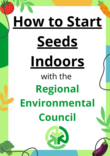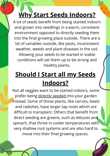# **Why Start Seeds Indoors?**

A lot of seeds benefit from being started indoors and grown into seedlings in a warm, consistent environment opposed to directly seeding them into the final growing place outside. There are a lot of variables outside, like pests, inconsistent weather, weeds and plant diseases in the soil. Allowing your seeds to be started in stable conditions will set them up to be strong and healthy plants.

## **Should I Start all my Seeds Indoors?**

Not all veggies want to be started indoors, some prefer being directly seeded into your garden instead. Some of those plants, like carrots, beets and radishes, have larger tap roots which are difficult to transplant. Others that benefit from direct seeding are greens, such as lettuces and spinach, that thrive in cooler temperatures with very shallow root systems and are also hard to move into their final growing spaces.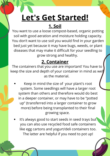# **Let's Get Started!**

## **1. Soil**

You want to use a loose compost-based, organic potting soil with good aeration and moisture holding capacity. You don't want to use soil you would find in your garden bed just yet because it may have bugs, weeds, or plant diseases that may make it difficult for your seedling to grow strong and healthy.

#### **2. Container**

The containers that you use are important! You have to keep the size and depth of your container in mind as well as the material.

- Keep in mind the size of your plant's root system. Some seedlings will have a larger root system than others and therefore would do best in a deeper container, or may have to be "potted up" (transferred into a larger container to grow more) before being transplanted to their final growing space.
- It's always good to start seeds in seed trays but you can also use recycled food safe containers like egg cartons and yogurt/deli containers too. The latter are helpful if you need to pot up!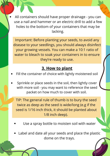All containers should have proper drainage - you can use a nail and hammer or an electric drill to add a few holes to the bottom of your containers that may be lacking.

Important: Before planting your seeds, to avoid any disease to your seedlings, you should always disinfect your growing vessels. You can make a 10:1 ratio of water to bleach to soak your containers in to ensure they're ready to use.

#### **3. How to plant**

- Fill the container of choice with lightly moistened soil
- Sprinkle or place seeds in the soil, then lightly cover with more soil - you may want to reference the seed packet on how much to cover with soil.

TIP: The general rule of thumb is to bury the seed twice as deep as the seed is wide/long (e.g if the seed is 1/16 inch thick, it should be planted about 1/8 inch deep).

- Use a spray bottle to moisten soil with water
- Label and date all your seeds and place the plastic dome on the trays.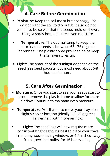#### **4. Care Before Germination**

- **Moisture**: Keep the soil moist but not soggy You do not want the soil to dry out, but also do not want it to be so wet that the seeds mold or drown. Using a spray bottle ensures even moisture.
- **Temperature:** The optimal temp to keep the germinating seeds is between 65 - 75 degrees Fahrenheit. The plastic dome provided helps keep the temperatures up.
- **Light:** The amount of the sunlight depends on the seed (see seed packets) but most need about 6-8 hours minimum.

#### **5. Care After Germination**

- **Moisture:** Once you start to see your seeds start to sprout, remove the plastic dome to allow for more air flow. Continue to maintain even moisture.
- **Temperature:** You'll want to move your trays to a slightly cooler location (ideally 55 - 70 degrees Fahrenheit) with more air flow.
- **Light:** The seedlings will now require more consistent bright light. It's best to place your trays in a sunny, south facing window, or 4-6 inches away from grow light bulbs, for 16 hours a day.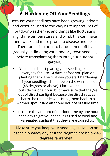### **6. Hardening Off Your Seedlings**

Because your seedlings have been growing indoors, and won't be used to the varying temperatures of outdoor weather yet and things like fluctuating nighttime temperatures and wind, this can make them weak and more prone to disease and pests. Therefore it is crucial to harden them off by gradually acclimating your indoor-grown seedlings before transplanting them into your outdoor garden.

- You should start placing your seedlings outside everyday for 7 to 14 days before you plan on planting them. The first day you start hardening off your seedlings should be on the warmer side (45 degrees or above). Place your seedlings outside for one hour, but make sure that they're out of direct sunlight because the direct rays can harm the tender leaves. Bring them back to a warmer spot inside after one hour of outside time.
- Increase the amount of outdoor time by one hour each day to get your seedlings used to wind and variegated sunlight that they are exposed to.

Make sure you keep your seedlings inside on an especially windy day or if the degrees are below 45 degrees fahrenheit.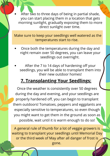After two to three days of being in partial shade, you can start placing them in a location that gets morning sunlight, gradually exposing them to more direct sunlight over time.

Make sure to keep your seedlings well watered as the temperatures start to rise.

- Once both the temperatures during the day and night remain over 50 degrees, you can leave your seedlings out overnight.
- After the 7 to 14 days of hardening off your seedlings, you will be able to transplant them into their new outdoor homes!

#### **7. Transplanting Your Seedlings:**

Once the weather is consistently over 50 degrees during the day and evening, and your seedlings are properly hardened off, you can begin to transplant them outdoors! Tomatoes, peppers and eggplants are especially sensitive to temperatures, so even though you might want to get them in the ground as soon as possible, wait until it is warm enough to do so!

A general rule of thumb for a lot of veggie growers is waiting to transplant your seedlings until Memorial Day or the third week of May after all danger of frost is gone.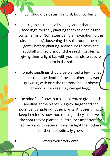- Soil should be decently moist, but not damp.
- Dig holes in the soil slightly larger than the seedling's rootball, planting them as deep as the container prior (tomatoes being an exception to this rule, see below), loosening the soil around the roots gently before planting. Make sure to cover the rootball with soil, around the seedlings stems, giving them a light tap with your hands to secure them in the soil.
- Tomato seedlings should be planted a few inches deeper than the depth of the container they were grown in, with only the topmost leaves above ground, otherwise they can get leggy.
- Be mindful of how much space you're giving each seedling, some plants will grow larger and can potentially shade out other plants. Another thing to keep in mind is how much sunlight they'll receive in the spot they're planted in. It's super important for some plants to receive more sunlight than others for them to optimally grow.

Water well afterwards!